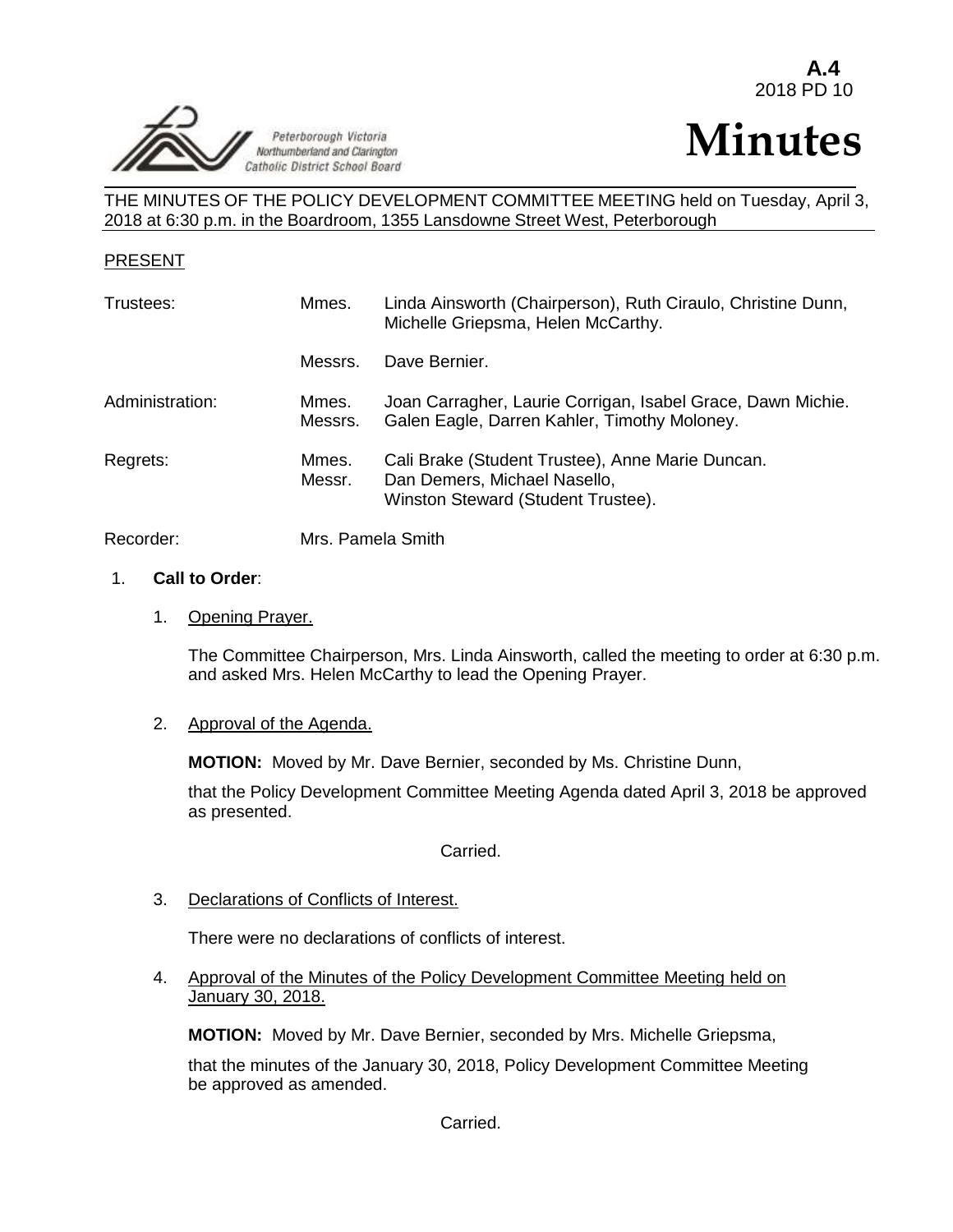Peterborough Victoria Northumberland and Clarington Catholic District School Board 

# **Minutes**

THE MINUTES OF THE POLICY DEVELOPMENT COMMITTEE MEETING held on Tuesday, April 3, 2018 at 6:30 p.m. in the Boardroom, 1355 Lansdowne Street West, Peterborough

### PRESENT

| Trustees:       | Mmes.            | Linda Ainsworth (Chairperson), Ruth Ciraulo, Christine Dunn,<br>Michelle Griepsma, Helen McCarthy.                     |  |
|-----------------|------------------|------------------------------------------------------------------------------------------------------------------------|--|
|                 | Messrs.          | Dave Bernier.                                                                                                          |  |
| Administration: | Mmes.<br>Messrs. | Joan Carragher, Laurie Corrigan, Isabel Grace, Dawn Michie.<br>Galen Eagle, Darren Kahler, Timothy Moloney.            |  |
| Regrets:        | Mmes.<br>Messr.  | Cali Brake (Student Trustee), Anne Marie Duncan.<br>Dan Demers, Michael Nasello,<br>Winston Steward (Student Trustee). |  |
| Recorder:       |                  | Mrs. Pamela Smith                                                                                                      |  |

## 1. **Call to Order**:

1. Opening Prayer.

The Committee Chairperson, Mrs. Linda Ainsworth, called the meeting to order at 6:30 p.m. and asked Mrs. Helen McCarthy to lead the Opening Prayer.

#### 2. Approval of the Agenda.

**MOTION:** Moved by Mr. Dave Bernier, seconded by Ms. Christine Dunn,

that the Policy Development Committee Meeting Agenda dated April 3, 2018 be approved as presented.

Carried.

3. Declarations of Conflicts of Interest.

There were no declarations of conflicts of interest.

4. Approval of the Minutes of the Policy Development Committee Meeting held on January 30, 2018.

**MOTION:** Moved by Mr. Dave Bernier, seconded by Mrs. Michelle Griepsma,

that the minutes of the January 30, 2018, Policy Development Committee Meeting be approved as amended.

Carried.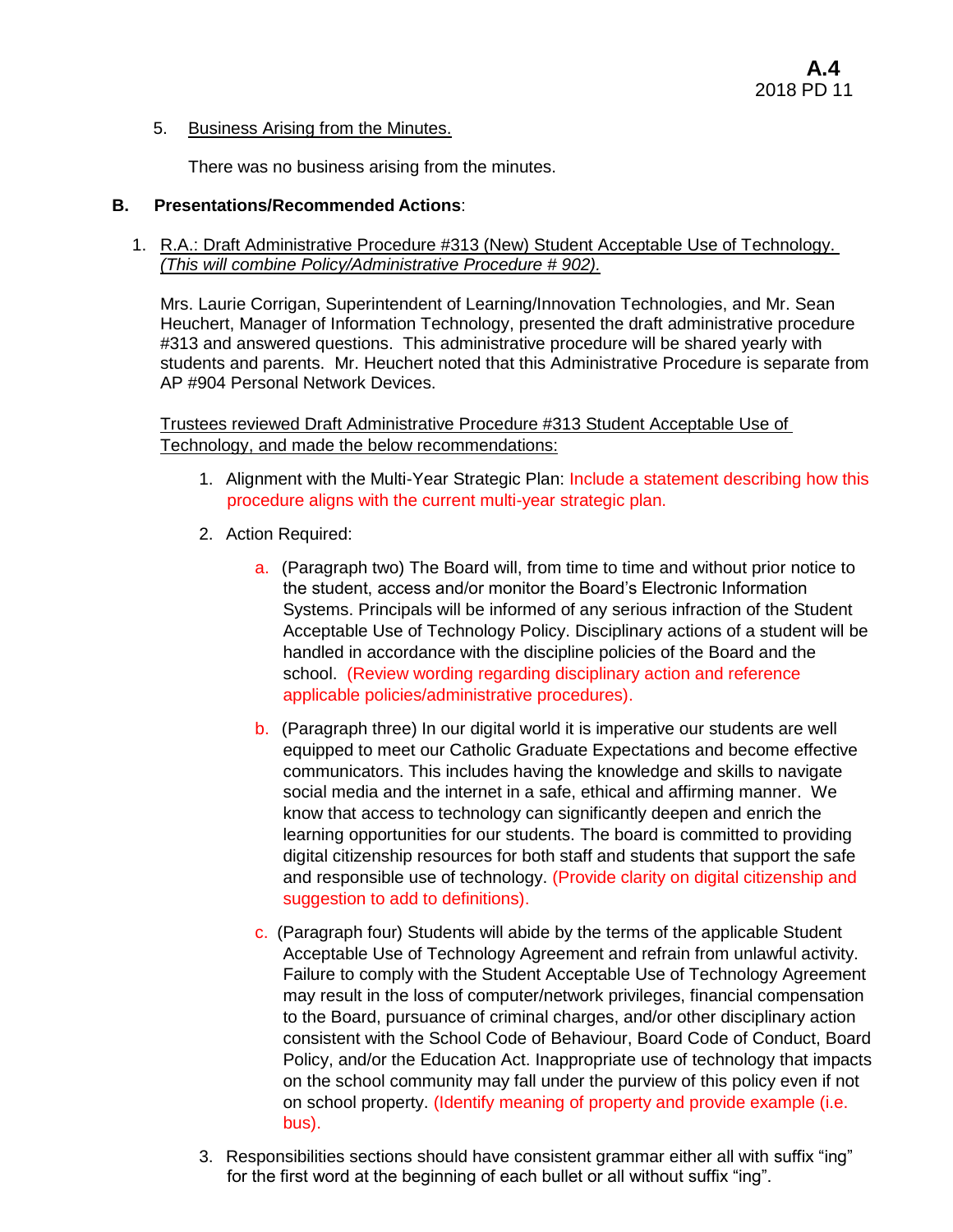5. Business Arising from the Minutes.

There was no business arising from the minutes.

#### **B. Presentations/Recommended Actions**:

#### 1. R.A.: Draft Administrative Procedure #313 (New) Student Acceptable Use of Technology. *(This will combine Policy/Administrative Procedure # 902).*

Mrs. Laurie Corrigan, Superintendent of Learning/Innovation Technologies, and Mr. Sean Heuchert, Manager of Information Technology, presented the draft administrative procedure #313 and answered questions. This administrative procedure will be shared yearly with students and parents. Mr. Heuchert noted that this Administrative Procedure is separate from AP #904 Personal Network Devices.

#### Trustees reviewed Draft Administrative Procedure #313 Student Acceptable Use of Technology, and made the below recommendations:

- 1. Alignment with the Multi-Year Strategic Plan: Include a statement describing how this procedure aligns with the current multi-year strategic plan.
- 2. Action Required:
	- a. (Paragraph two) The Board will, from time to time and without prior notice to the student, access and/or monitor the Board's Electronic Information Systems. Principals will be informed of any serious infraction of the Student Acceptable Use of Technology Policy. Disciplinary actions of a student will be handled in accordance with the discipline policies of the Board and the school. (Review wording regarding disciplinary action and reference applicable policies/administrative procedures).
	- b. (Paragraph three) In our digital world it is imperative our students are well equipped to meet our Catholic Graduate Expectations and become effective communicators. This includes having the knowledge and skills to navigate social media and the internet in a safe, ethical and affirming manner. We know that access to technology can significantly deepen and enrich the learning opportunities for our students. The board is committed to providing digital citizenship resources for both staff and students that support the safe and responsible use of technology. (Provide clarity on digital citizenship and suggestion to add to definitions).
	- c. (Paragraph four) Students will abide by the terms of the applicable Student Acceptable Use of Technology Agreement and refrain from unlawful activity. Failure to comply with the Student Acceptable Use of Technology Agreement may result in the loss of computer/network privileges, financial compensation to the Board, pursuance of criminal charges, and/or other disciplinary action consistent with the School Code of Behaviour, Board Code of Conduct, Board Policy, and/or the Education Act. Inappropriate use of technology that impacts on the school community may fall under the purview of this policy even if not on school property. (Identify meaning of property and provide example (i.e. bus).
- 3. Responsibilities sections should have consistent grammar either all with suffix "ing" for the first word at the beginning of each bullet or all without suffix "ing".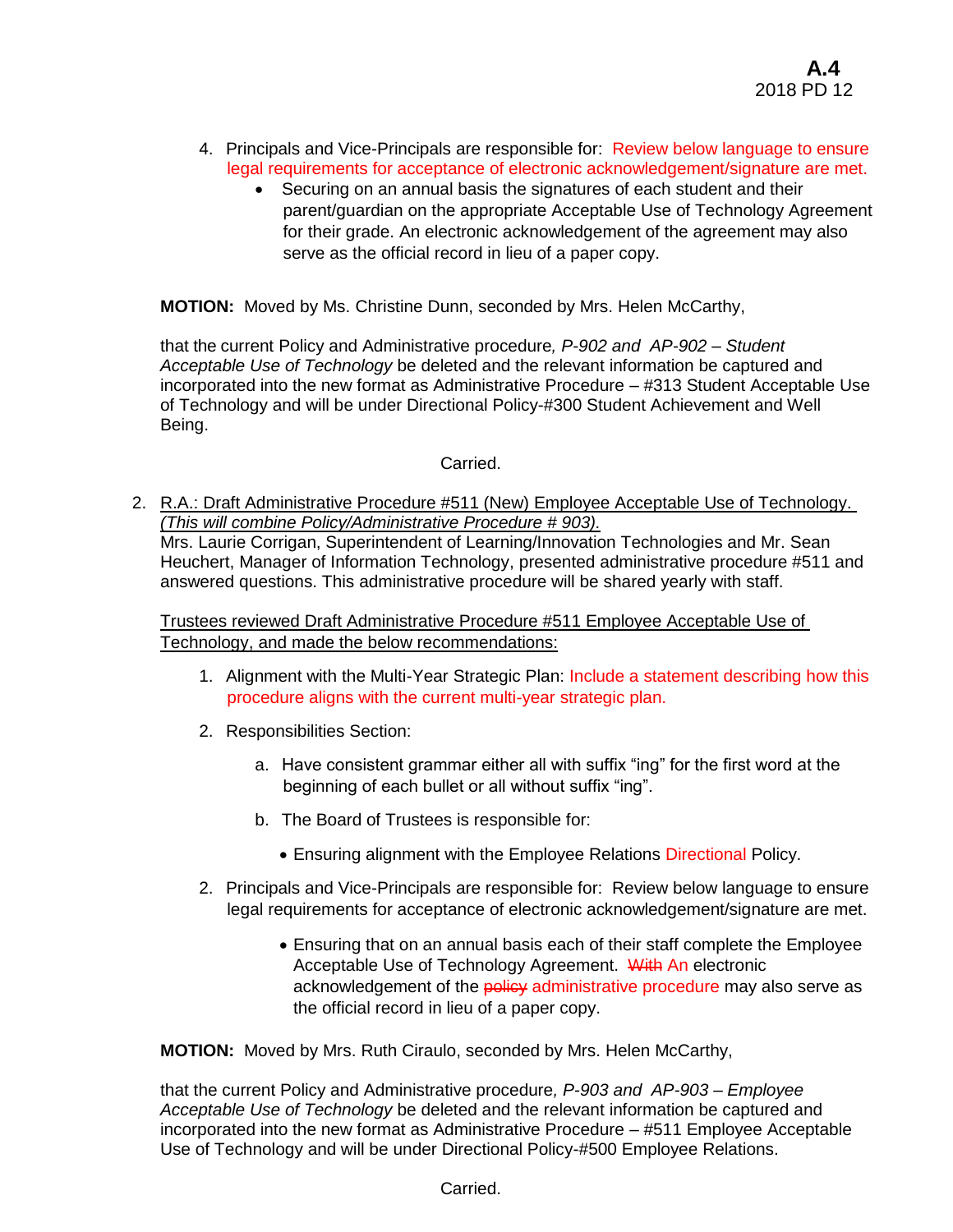- 4. Principals and Vice-Principals are responsible for: Review below language to ensure legal requirements for acceptance of electronic acknowledgement/signature are met.
	- Securing on an annual basis the signatures of each student and their parent/guardian on the appropriate Acceptable Use of Technology Agreement for their grade. An electronic acknowledgement of the agreement may also serve as the official record in lieu of a paper copy.

**MOTION:** Moved by Ms. Christine Dunn, seconded by Mrs. Helen McCarthy,

that the current Policy and Administrative procedure*, P-902 and AP-902 – Student Acceptable Use of Technology* be deleted and the relevant information be captured and incorporated into the new format as Administrative Procedure – #313 Student Acceptable Use of Technology and will be under Directional Policy-#300 Student Achievement and Well Being.

#### Carried.

2. R.A.: Draft Administrative Procedure #511 (New) Employee Acceptable Use of Technology. *(This will combine Policy/Administrative Procedure # 903).* Mrs. Laurie Corrigan, Superintendent of Learning/Innovation Technologies and Mr. Sean Heuchert, Manager of Information Technology, presented administrative procedure #511 and answered questions. This administrative procedure will be shared yearly with staff.

Trustees reviewed Draft Administrative Procedure #511 Employee Acceptable Use of Technology, and made the below recommendations:

- 1. Alignment with the Multi-Year Strategic Plan: Include a statement describing how this procedure aligns with the current multi-year strategic plan.
- 2. Responsibilities Section:
	- a. Have consistent grammar either all with suffix "ing" for the first word at the beginning of each bullet or all without suffix "ing".
	- b. The Board of Trustees is responsible for:
		- **Ensuring alignment with the Employee Relations Directional Policy.**
- 2. Principals and Vice-Principals are responsible for: Review below language to ensure legal requirements for acceptance of electronic acknowledgement/signature are met.
	- Ensuring that on an annual basis each of their staff complete the Employee Acceptable Use of Technology Agreement. With An electronic acknowledgement of the policy administrative procedure may also serve as the official record in lieu of a paper copy.

**MOTION:** Moved by Mrs. Ruth Ciraulo, seconded by Mrs. Helen McCarthy,

that the current Policy and Administrative procedure*, P-903 and AP-903 – Employee Acceptable Use of Technology* be deleted and the relevant information be captured and incorporated into the new format as Administrative Procedure – #511 Employee Acceptable Use of Technology and will be under Directional Policy-#500 Employee Relations.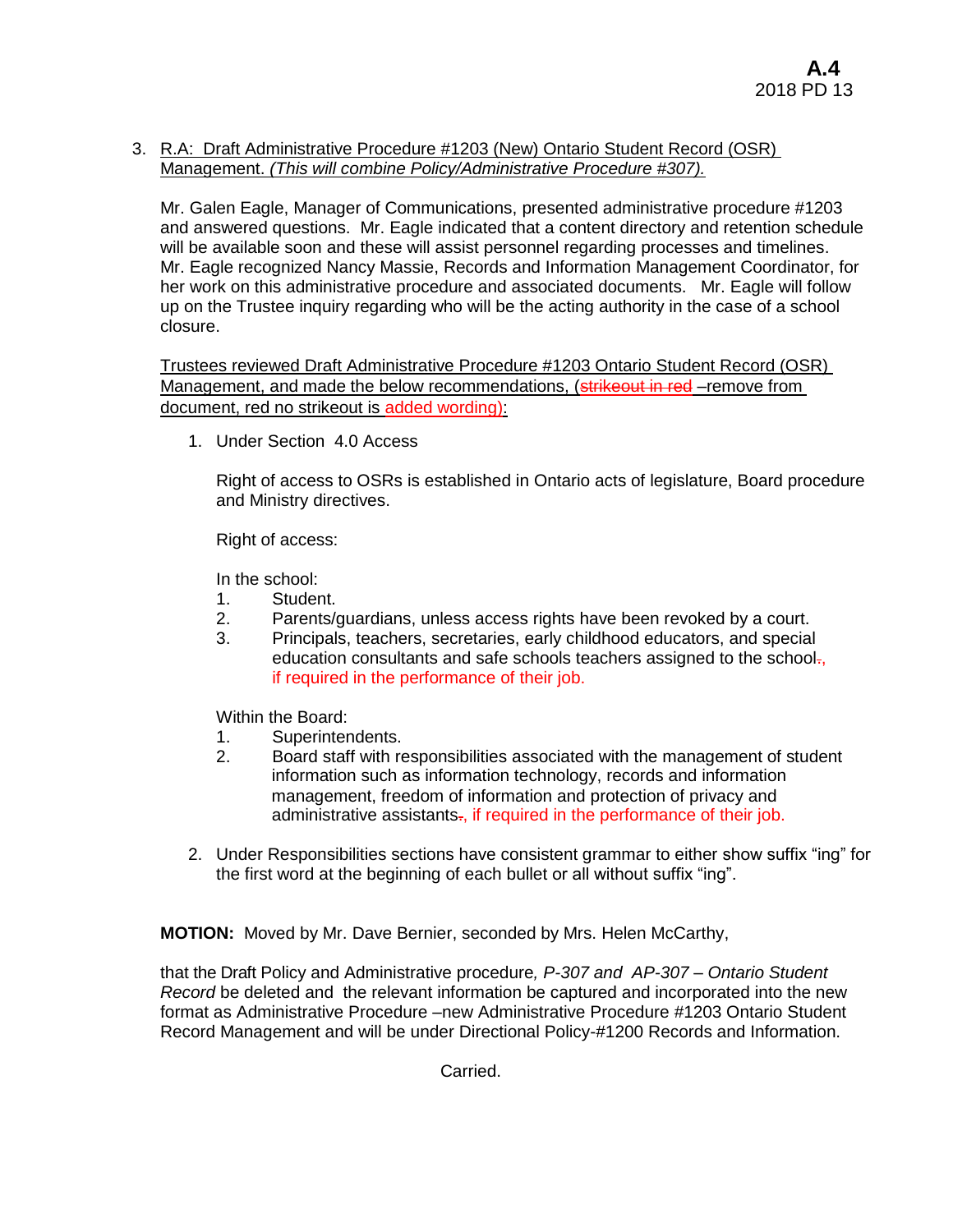#### 3. R.A: Draft Administrative Procedure #1203 (New) Ontario Student Record (OSR) Management. *(This will combine Policy/Administrative Procedure #307).*

Mr. Galen Eagle, Manager of Communications, presented administrative procedure #1203 and answered questions. Mr. Eagle indicated that a content directory and retention schedule will be available soon and these will assist personnel regarding processes and timelines. Mr. Eagle recognized Nancy Massie, Records and Information Management Coordinator, for her work on this administrative procedure and associated documents. Mr. Eagle will follow up on the Trustee inquiry regarding who will be the acting authority in the case of a school closure.

Trustees reviewed Draft Administrative Procedure #1203 Ontario Student Record (OSR) Management, and made the below recommendations, (strikeout in red –remove from document, red no strikeout is added wording):

1. Under Section 4.0 Access

Right of access to OSRs is established in Ontario acts of legislature, Board procedure and Ministry directives.

Right of access:

In the school:

- 1. Student.
- 2. Parents/guardians, unless access rights have been revoked by a court.
- 3. Principals, teachers, secretaries, early childhood educators, and special education consultants and safe schools teachers assigned to the school-, if required in the performance of their job.

Within the Board:

- 1. Superintendents.
- 2. Board staff with responsibilities associated with the management of student information such as information technology, records and information management, freedom of information and protection of privacy and administrative assistants-, if required in the performance of their job.
- 2. Under Responsibilities sections have consistent grammar to either show suffix "ing" for the first word at the beginning of each bullet or all without suffix "ing".

**MOTION:** Moved by Mr. Dave Bernier, seconded by Mrs. Helen McCarthy,

that the Draft Policy and Administrative procedure*, P-307 and AP-307 – Ontario Student Record* be deleted and the relevant information be captured and incorporated into the new format as Administrative Procedure –new Administrative Procedure #1203 Ontario Student Record Management and will be under Directional Policy-#1200 Records and Information.

Carried.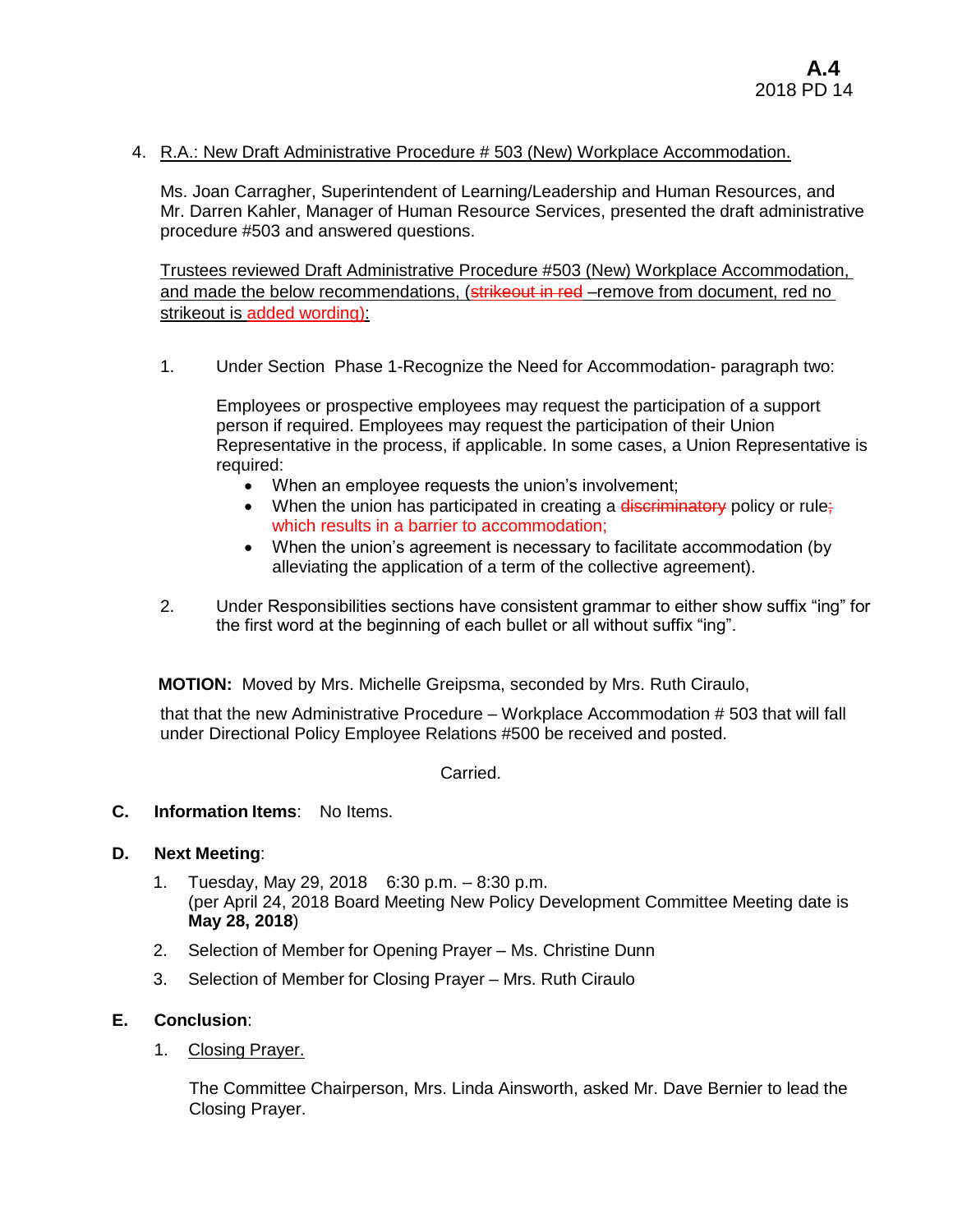4. R.A.: New Draft Administrative Procedure # 503 (New) Workplace Accommodation.

Ms. Joan Carragher, Superintendent of Learning/Leadership and Human Resources, and Mr. Darren Kahler, Manager of Human Resource Services, presented the draft administrative procedure #503 and answered questions.

Trustees reviewed Draft Administrative Procedure #503 (New) Workplace Accommodation, and made the below recommendations, (strikeout in red –remove from document, red no strikeout is added wording):

1. Under Section Phase 1-Recognize the Need for Accommodation- paragraph two:

Employees or prospective employees may request the participation of a support person if required. Employees may request the participation of their Union Representative in the process, if applicable. In some cases, a Union Representative is required:

- When an employee requests the union's involvement;
- When the union has participated in creating a discriminatory policy or rule; which results in a barrier to accommodation;
- When the union's agreement is necessary to facilitate accommodation (by alleviating the application of a term of the collective agreement).
- 2. Under Responsibilities sections have consistent grammar to either show suffix "ing" for the first word at the beginning of each bullet or all without suffix "ing".

**MOTION:** Moved by Mrs. Michelle Greipsma, seconded by Mrs. Ruth Ciraulo,

that that the new Administrative Procedure – Workplace Accommodation # 503 that will fall under Directional Policy Employee Relations #500 be received and posted.

Carried.

- **C. Information Items**: No Items.
- **D. Next Meeting**:
	- 1. Tuesday, May 29, 2018 6:30 p.m. 8:30 p.m. (per April 24, 2018 Board Meeting New Policy Development Committee Meeting date is **May 28, 2018**)
	- 2. Selection of Member for Opening Prayer Ms. Christine Dunn
	- 3. Selection of Member for Closing Prayer Mrs. Ruth Ciraulo

#### **E. Conclusion**:

1. Closing Prayer.

The Committee Chairperson, Mrs. Linda Ainsworth, asked Mr. Dave Bernier to lead the Closing Prayer.